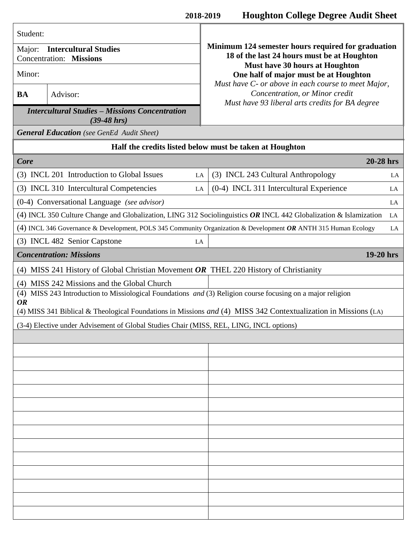| Student:                                                                                                                                                                                                                                                                                   |                                                  |                                                                                                                                |  |
|--------------------------------------------------------------------------------------------------------------------------------------------------------------------------------------------------------------------------------------------------------------------------------------------|--------------------------------------------------|--------------------------------------------------------------------------------------------------------------------------------|--|
| <b>Intercultural Studies</b><br>Major:<br><b>Concentration: Missions</b>                                                                                                                                                                                                                   |                                                  | Minimum 124 semester hours required for graduation<br>18 of the last 24 hours must be at Houghton                              |  |
| Minor:                                                                                                                                                                                                                                                                                     |                                                  | Must have 30 hours at Houghton<br>One half of major must be at Houghton<br>Must have C- or above in each course to meet Major, |  |
| <b>BA</b>                                                                                                                                                                                                                                                                                  | Advisor:                                         | Concentration, or Minor credit<br>Must have 93 liberal arts credits for BA degree                                              |  |
| <b>Intercultural Studies - Missions Concentration</b><br>$(39-48)$ hrs)                                                                                                                                                                                                                    |                                                  |                                                                                                                                |  |
| <b>General Education</b> (see GenEd Audit Sheet)                                                                                                                                                                                                                                           |                                                  |                                                                                                                                |  |
| Half the credits listed below must be taken at Houghton                                                                                                                                                                                                                                    |                                                  |                                                                                                                                |  |
| 20-28 hrs<br>Core                                                                                                                                                                                                                                                                          |                                                  |                                                                                                                                |  |
|                                                                                                                                                                                                                                                                                            | (3) INCL 201 Introduction to Global Issues<br>LA | (3) INCL 243 Cultural Anthropology<br>LA                                                                                       |  |
| (3) INCL 310 Intercultural Competencies<br>LA                                                                                                                                                                                                                                              |                                                  | (0-4) INCL 311 Intercultural Experience<br>LA                                                                                  |  |
| (0-4) Conversational Language (see advisor)<br>LA                                                                                                                                                                                                                                          |                                                  |                                                                                                                                |  |
| (4) INCL 350 Culture Change and Globalization, LING 312 Sociolinguistics OR INCL 442 Globalization & Islamization<br>LA                                                                                                                                                                    |                                                  |                                                                                                                                |  |
| (4) INCL 346 Governance & Development, POLS 345 Community Organization & Development OR ANTH 315 Human Ecology                                                                                                                                                                             |                                                  | LA                                                                                                                             |  |
|                                                                                                                                                                                                                                                                                            | (3) INCL 482 Senior Capstone<br>LA               |                                                                                                                                |  |
| <b>Concentration: Missions</b><br>19-20 hrs                                                                                                                                                                                                                                                |                                                  |                                                                                                                                |  |
| (4) MISS 241 History of Global Christian Movement OR THEL 220 History of Christianity                                                                                                                                                                                                      |                                                  |                                                                                                                                |  |
| (4) MISS 242 Missions and the Global Church<br>(4) MISS 243 Introduction to Missiological Foundations and (3) Religion course focusing on a major religion<br><b>OR</b><br>(4) MISS 341 Biblical & Theological Foundations in Missions and (4) MISS 342 Contextualization in Missions (LA) |                                                  |                                                                                                                                |  |
| (3-4) Elective under Advisement of Global Studies Chair (MISS, REL, LING, INCL options)                                                                                                                                                                                                    |                                                  |                                                                                                                                |  |
|                                                                                                                                                                                                                                                                                            |                                                  |                                                                                                                                |  |
|                                                                                                                                                                                                                                                                                            |                                                  |                                                                                                                                |  |
|                                                                                                                                                                                                                                                                                            |                                                  |                                                                                                                                |  |
|                                                                                                                                                                                                                                                                                            |                                                  |                                                                                                                                |  |
|                                                                                                                                                                                                                                                                                            |                                                  |                                                                                                                                |  |
|                                                                                                                                                                                                                                                                                            |                                                  |                                                                                                                                |  |
|                                                                                                                                                                                                                                                                                            |                                                  |                                                                                                                                |  |
|                                                                                                                                                                                                                                                                                            |                                                  |                                                                                                                                |  |
|                                                                                                                                                                                                                                                                                            |                                                  |                                                                                                                                |  |
|                                                                                                                                                                                                                                                                                            |                                                  |                                                                                                                                |  |
|                                                                                                                                                                                                                                                                                            |                                                  |                                                                                                                                |  |
|                                                                                                                                                                                                                                                                                            |                                                  |                                                                                                                                |  |
|                                                                                                                                                                                                                                                                                            |                                                  |                                                                                                                                |  |
|                                                                                                                                                                                                                                                                                            |                                                  |                                                                                                                                |  |